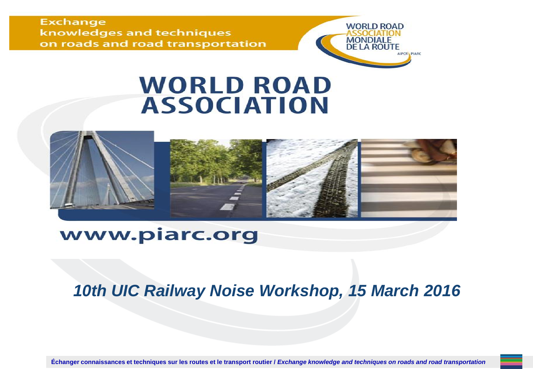**Exchange** knowledges and techniques on roads and road transportation



### **WORLD ROAD ASSOCIATION**



### www.piarc.org

### *10th UIC Railway Noise Workshop, 15 March 2016*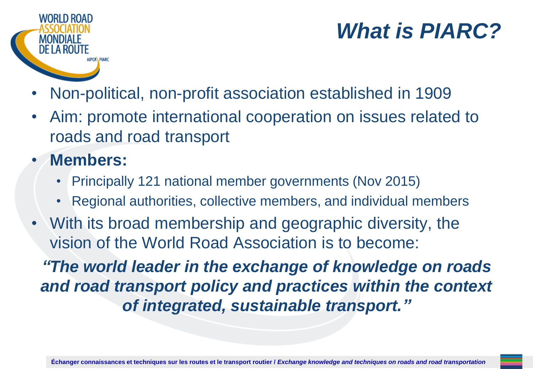

## *What is PIARC?*

- Non-political, non-profit association established in 1909
- Aim: promote international cooperation on issues related to roads and road transport
- **Members:**
	- Principally 121 national member governments (Nov 2015)
	- Regional authorities, collective members, and individual members
- With its broad membership and geographic diversity, the vision of the World Road Association is to become:

*"The world leader in the exchange of knowledge on roads and road transport policy and practices within the context of integrated, sustainable transport."*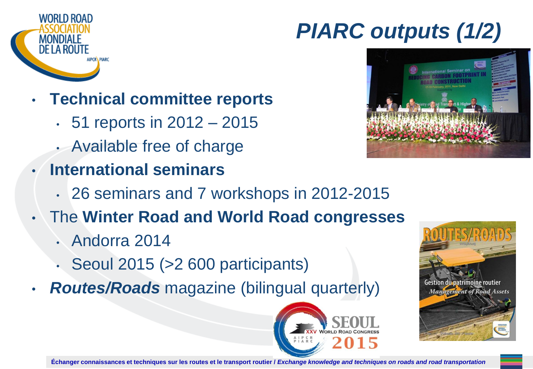

# *PIARC outputs (1/2)*



- **Technical committee reports**
	- 51 reports in 2012 2015
	- Available free of charge
- **International seminars**
	- 26 seminars and 7 workshops in 2012-2015
- The **Winter Road and World Road congresses**
	- Andorra 2014
	- Seoul 2015 (>2 600 participants)
- *Routes/Roads* magazine (bilingual quarterly)



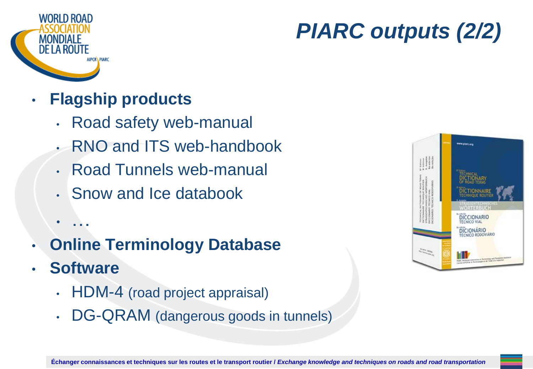

# *PIARC outputs (2/2)*

- **Flagship products**
	- Road safety web-manual
	- RNO and ITS web-handbook
	- Road Tunnels web-manual
	- Snow and Ice databook
	- …
- **Online Terminology Database**
- **Software**
	- HDM-4 (road project appraisal)
	- DG-QRAM (dangerous goods in tunnels)

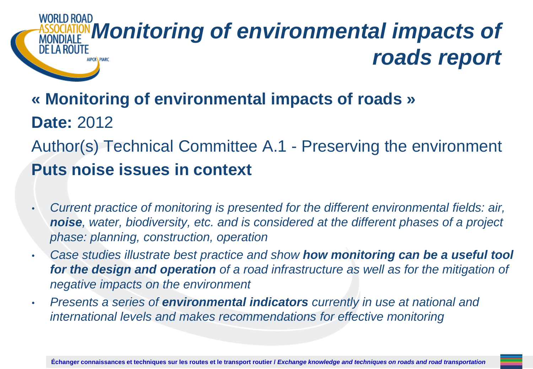### *Monitoring of environmental impacts of*  DE LA ROUTE *roads report* **AIPCRA PIARC**

### **« Monitoring of environmental impacts of roads » Date:** 2012 Author(s) Technical Committee A.1 - Preserving the environment **Puts noise issues in context**

- *Current practice of monitoring is presented for the different environmental fields: air, noise, water, biodiversity, etc. and is considered at the different phases of a project phase: planning, construction, operation*
- *Case studies illustrate best practice and show how monitoring can be a useful tool for the design and operation of a road infrastructure as well as for the mitigation of negative impacts on the environment*
- *Presents a series of environmental indicators currently in use at national and international levels and makes recommendations for effective monitoring*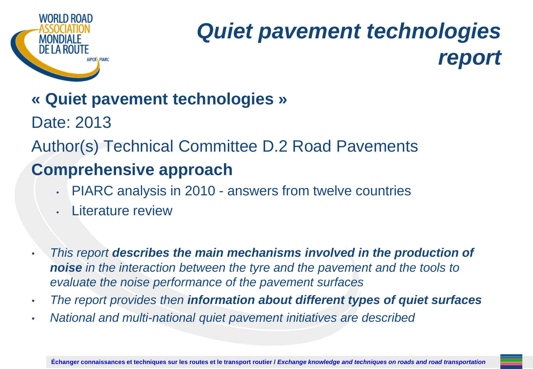

# *Quiet pavement technologies report*

### **« Quiet pavement technologies »**

Date: 2013

Author(s) Technical Committee D.2 Road Pavements

### **Comprehensive approach**

- PIARC analysis in 2010 answers from twelve countries
- **Literature review**
- *This report describes the main mechanisms involved in the production of noise in the interaction between the tyre and the pavement and the tools to evaluate the noise performance of the pavement surfaces*
- *The report provides then information about different types of quiet surfaces*
- *National and multi-national quiet pavement initiatives are described*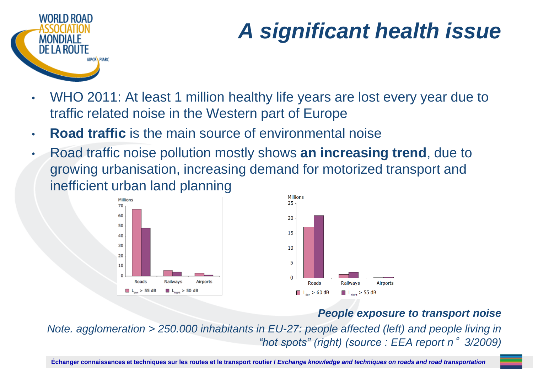

# *A significant health issue*

- WHO 2011: At least 1 million healthy life years are lost every year due to traffic related noise in the Western part of Europe
- **Road traffic** is the main source of environmental noise
- Road traffic noise pollution mostly shows **an increasing trend**, due to growing urbanisation, increasing demand for motorized transport and inefficient urban land planning





#### *People exposure to transport noise*

*Note. agglomeration > 250.000 inhabitants in EU-27: people affected (left) and people living in "hot spots" (right) (source : EEA report n*°*3/2009)*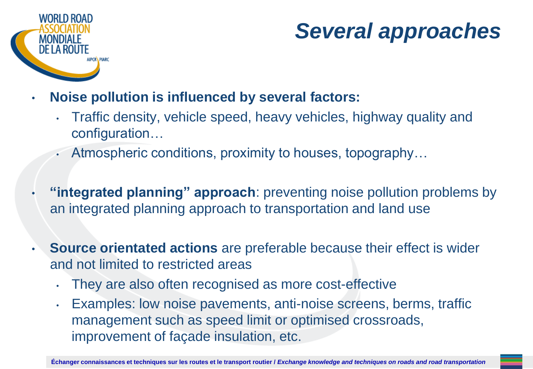

## *Several approaches*

- **Noise pollution is influenced by several factors:**
	- Traffic density, vehicle speed, heavy vehicles, highway quality and configuration…
	- Atmospheric conditions, proximity to houses, topography…
- **"integrated planning" approach**: preventing noise pollution problems by an integrated planning approach to transportation and land use
- **Source orientated actions** are preferable because their effect is wider and not limited to restricted areas
	- They are also often recognised as more cost-effective
	- Examples: low noise pavements, anti-noise screens, berms, traffic management such as speed limit or optimised crossroads, improvement of façade insulation, etc.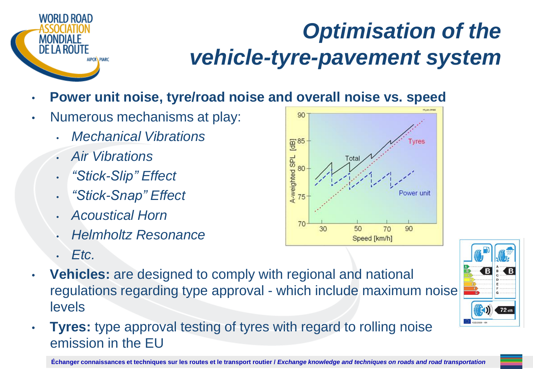

# *Optimisation of the vehicle-tyre-pavement system*

- **Power unit noise, tyre/road noise and overall noise vs. speed**
- Numerous mechanisms at play:
	- *Mechanical Vibrations*
	- *Air Vibrations*
	- *"Stick-Slip" Effect*
	- *"Stick-Snap" Effect*
	- *Acoustical Horn*
	- *Helmholtz Resonance*
	- *Etc.*
- **Vehicles:** are designed to comply with regional and national regulations regarding type approval - which include maximum noise levels
- **Tyres:** type approval testing of tyres with regard to rolling noise emission in the EU



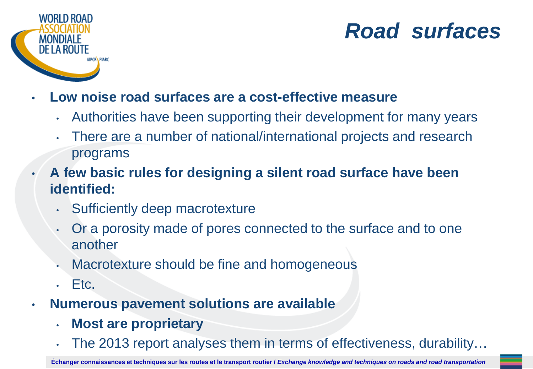

## *Road surfaces*

- **Low noise road surfaces are a cost-effective measure**
	- Authorities have been supporting their development for many years
	- There are a number of national/international projects and research programs
- **A few basic rules for designing a silent road surface have been identified:**
	- Sufficiently deep macrotexture
	- Or a porosity made of pores connected to the surface and to one another
	- Macrotexture should be fine and homogeneous
	- $\cdot$  Etc.
- **Numerous pavement solutions are available**
	- **Most are proprietary**
	- The 2013 report analyses them in terms of effectiveness, durability...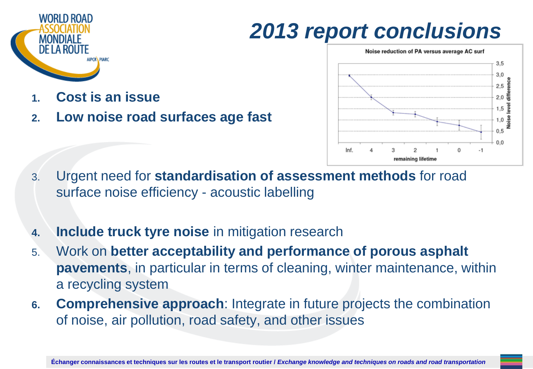

## *2013 report conclusions*



- **1. Cost is an issue**
- **2. Low noise road surfaces age fast**

- 3. Urgent need for **standardisation of assessment methods** for road surface noise efficiency - acoustic labelling
- **4. Include truck tyre noise** in mitigation research
- 5. Work on **better acceptability and performance of porous asphalt pavements**, in particular in terms of cleaning, winter maintenance, within a recycling system
- **6. Comprehensive approach**: Integrate in future projects the combination of noise, air pollution, road safety, and other issues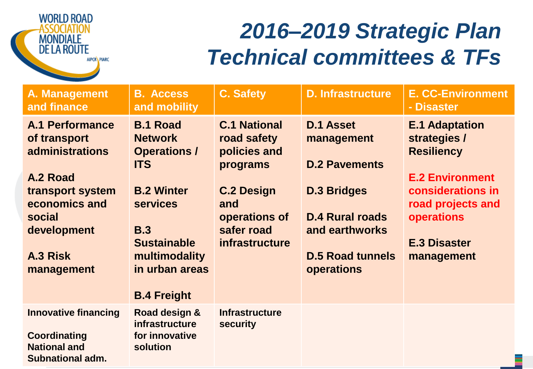

## *2016–2019 Strategic Plan Technical committees & TFs*

| A. Management<br>and finance                                                                         | <b>B. Access</b><br>and mobility                                                                                                  | <b>C. Safety</b>                                                                 | <b>D. Infrastructure</b>                                                                                       | <b>E. CC-Environment</b><br>- Disaster                                                           |
|------------------------------------------------------------------------------------------------------|-----------------------------------------------------------------------------------------------------------------------------------|----------------------------------------------------------------------------------|----------------------------------------------------------------------------------------------------------------|--------------------------------------------------------------------------------------------------|
| <b>A.1 Performance</b><br>of transport<br>administrations<br>A.2 Road                                | <b>B.1 Road</b><br><b>Network</b><br><b>Operations /</b><br><b>ITS</b>                                                            | <b>C.1 National</b><br>road safety<br>policies and<br>programs                   | <b>D.1 Asset</b><br>management<br><b>D.2 Pavements</b>                                                         | <b>E.1 Adaptation</b><br>strategies /<br><b>Resiliency</b><br><b>E.2 Environment</b>             |
| transport system<br>economics and<br>social<br>development<br>A.3 Risk<br>management                 | <b>B.2 Winter</b><br><b>services</b><br><b>B.3</b><br><b>Sustainable</b><br>multimodality<br>in urban areas<br><b>B.4 Freight</b> | <b>C.2 Design</b><br>and<br>operations of<br>safer road<br><i>infrastructure</i> | <b>D.3 Bridges</b><br><b>D.4 Rural roads</b><br>and earthworks<br><b>D.5 Road tunnels</b><br><b>operations</b> | considerations in<br>road projects and<br><b>operations</b><br><b>E.3 Disaster</b><br>management |
| <b>Innovative financing</b><br><b>Coordinating</b><br><b>National and</b><br><b>Subnational adm.</b> | Road design &<br><b>infrastructure</b><br>for innovative<br>solution                                                              | <b>Infrastructure</b><br>security                                                |                                                                                                                |                                                                                                  |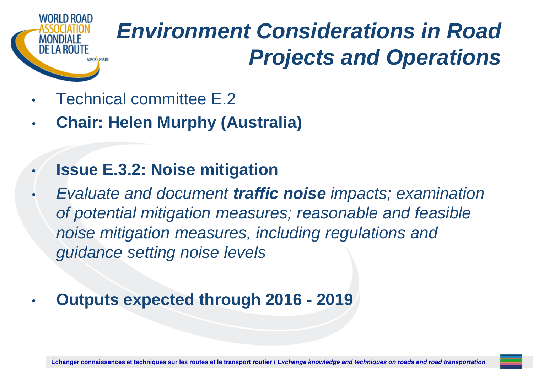

# *Environment Considerations in Road Projects and Operations*

- Technical committee E.2
- **Chair: Helen Murphy (Australia)**
- **Issue E.3.2: Noise mitigation**
- *Evaluate and document traffic noise impacts; examination of potential mitigation measures; reasonable and feasible noise mitigation measures, including regulations and guidance setting noise levels*
- **Outputs expected through 2016 - 2019**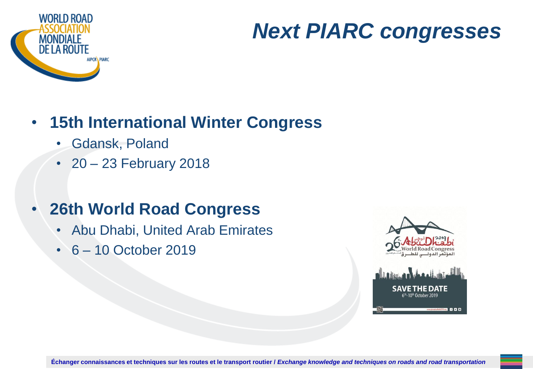

## *Next PIARC congresses*

### • **15th International Winter Congress**

- Gdansk, Poland
- 20 23 February 2018

### • **26th World Road Congress**

- Abu Dhabi, United Arab Emirates
- 6 10 October 2019